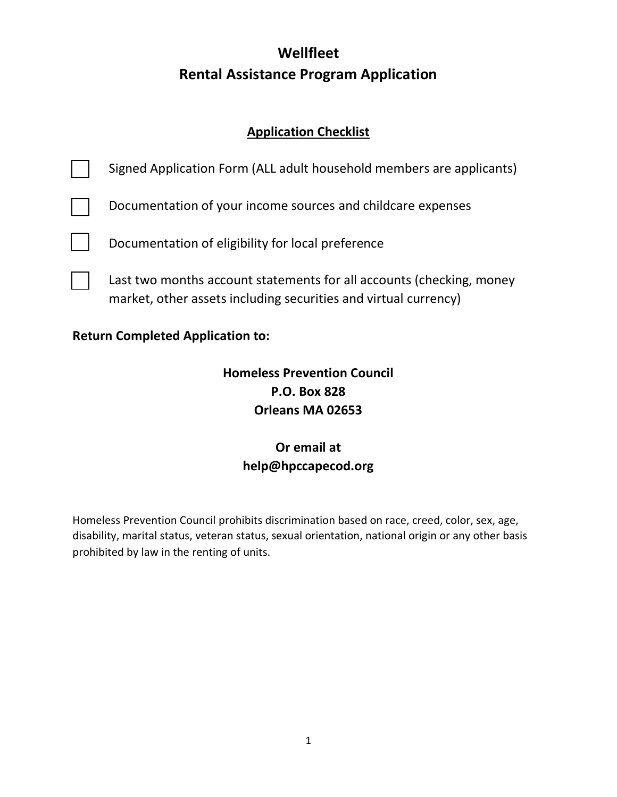# **Wellfleet Rental Assistance Program Application**

### **Application Checklist**

| <b>Homeless Prevention Council</b><br><b>P.O. Box 828</b> |                                                                                                                                         |  |  |  |
|-----------------------------------------------------------|-----------------------------------------------------------------------------------------------------------------------------------------|--|--|--|
| <b>Return Completed Application to:</b>                   |                                                                                                                                         |  |  |  |
|                                                           | Last two months account statements for all accounts (checking, money<br>market, other assets including securities and virtual currency) |  |  |  |
|                                                           | Documentation of eligibility for local preference                                                                                       |  |  |  |
|                                                           | Documentation of your income sources and childcare expenses                                                                             |  |  |  |
|                                                           | Signed Application Form (ALL adult household members are applicants)                                                                    |  |  |  |

**Orleans MA 02653**

## **Or email at help@hpccapecod.org**

Homeless Prevention Council prohibits discrimination based on race, creed, color, sex, age, disability, marital status, veteran status, sexual orientation, national origin or any other basis prohibited by law in the renting of units.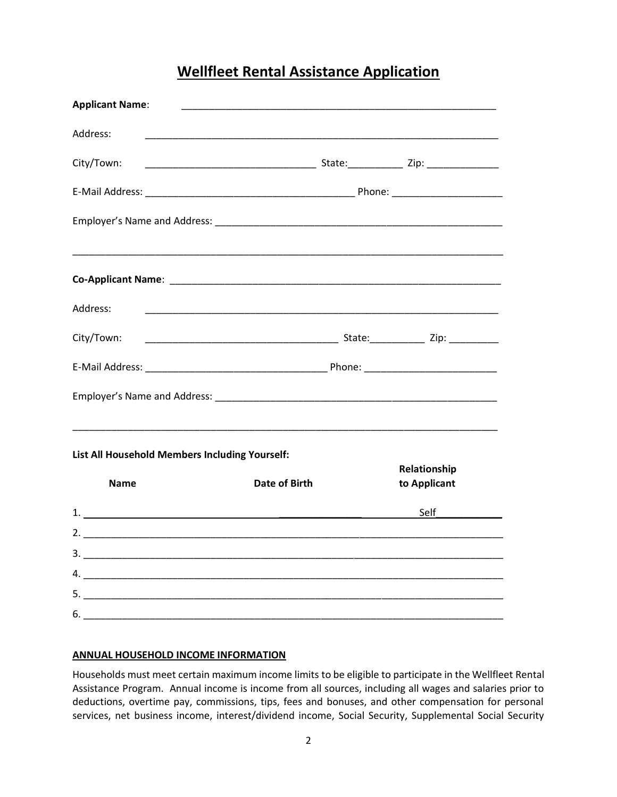### **Wellfleet Rental Assistance Application**

| <b>Applicant Name:</b> |                                                                                                                       |              |
|------------------------|-----------------------------------------------------------------------------------------------------------------------|--------------|
| Address:               |                                                                                                                       |              |
| City/Town:             |                                                                                                                       |              |
|                        |                                                                                                                       |              |
|                        |                                                                                                                       |              |
|                        | <u> 1989 - Johann Harry Harry Harry Harry Harry Harry Harry Harry Harry Harry Harry Harry Harry Harry Harry Harry</u> |              |
|                        |                                                                                                                       |              |
| Address:               |                                                                                                                       |              |
| City/Town:             |                                                                                                                       |              |
|                        |                                                                                                                       |              |
|                        |                                                                                                                       |              |
|                        | List All Household Members Including Yourself:                                                                        | Relationship |
| <b>Name</b>            | <b>Date of Birth</b>                                                                                                  | to Applicant |
|                        | 1. $\overline{\phantom{a}}$                                                                                           | Self         |
|                        |                                                                                                                       |              |
|                        |                                                                                                                       |              |
|                        |                                                                                                                       |              |
| $6.$                   |                                                                                                                       |              |

#### **ANNUAL HOUSEHOLD INCOME INFORMATION**

Households must meet certain maximum income limits to be eligible to participate in the Wellfleet Rental Assistance Program. Annual income is income from all sources, including all wages and salaries prior to deductions, overtime pay, commissions, tips, fees and bonuses, and other compensation for personal services, net business income, interest/dividend income, Social Security, Supplemental Social Security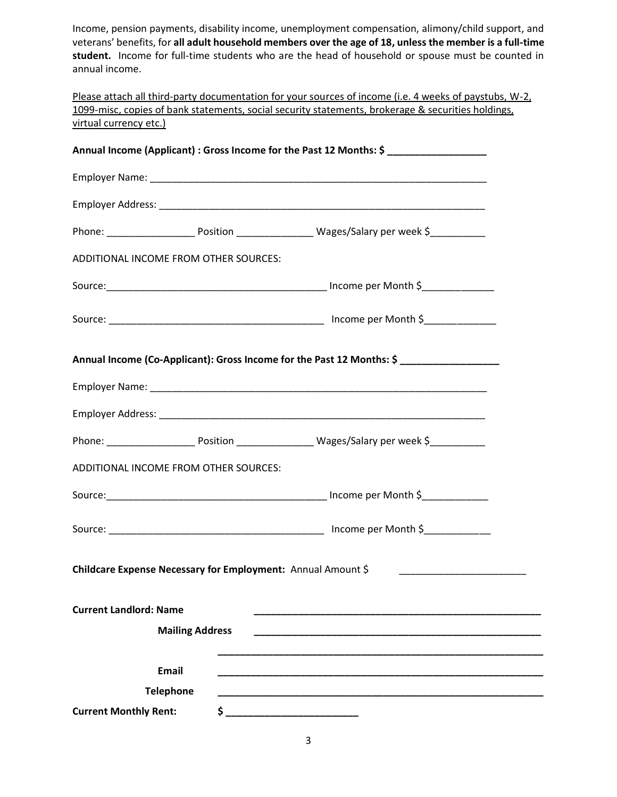Income, pension payments, disability income, unemployment compensation, alimony/child support, and veterans' benefits, for **all adult household members over the age of 18, unless the member is a full-time student.** Income for full-time students who are the head of household or spouse must be counted in annual income.

Please attach all third-party documentation for your sources of income (i.e. 4 weeks of paystubs, W-2, 1099-misc, copies of bank statements, social security statements, brokerage & securities holdings, virtual currency etc.)

|                               |                                                              | Annual Income (Applicant): Gross Income for the Past 12 Months: \$                                         |
|-------------------------------|--------------------------------------------------------------|------------------------------------------------------------------------------------------------------------|
|                               |                                                              |                                                                                                            |
|                               |                                                              |                                                                                                            |
|                               |                                                              | Phone: ___________________________Position ________________________Wages/Salary per week \$_______________ |
|                               | ADDITIONAL INCOME FROM OTHER SOURCES:                        |                                                                                                            |
|                               |                                                              |                                                                                                            |
|                               |                                                              |                                                                                                            |
|                               |                                                              | Annual Income (Co-Applicant): Gross Income for the Past 12 Months: \$                                      |
|                               |                                                              |                                                                                                            |
|                               |                                                              |                                                                                                            |
|                               |                                                              | Phone: __________________________Position _______________________Wages/Salary per week \$____________      |
|                               | ADDITIONAL INCOME FROM OTHER SOURCES:                        |                                                                                                            |
|                               |                                                              |                                                                                                            |
|                               |                                                              |                                                                                                            |
|                               | Childcare Expense Necessary for Employment: Annual Amount \$ |                                                                                                            |
| <b>Current Landlord: Name</b> |                                                              |                                                                                                            |
|                               | <b>Mailing Address</b>                                       |                                                                                                            |
|                               | <b>Email</b>                                                 |                                                                                                            |
|                               | <b>Telephone</b>                                             |                                                                                                            |
| <b>Current Monthly Rent:</b>  |                                                              |                                                                                                            |